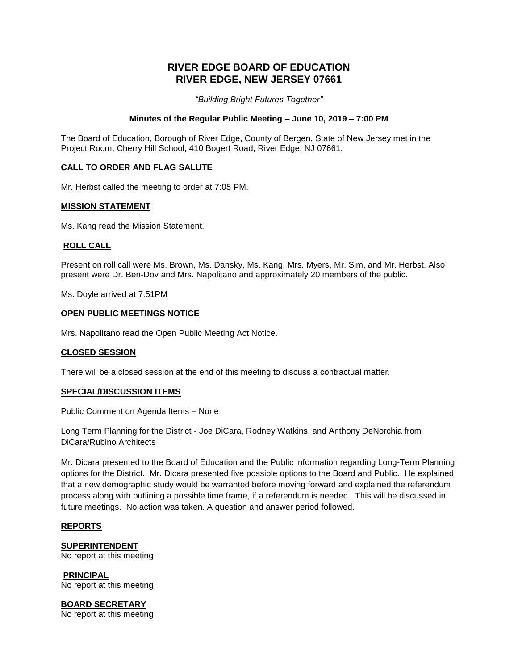# **RIVER EDGE BOARD OF EDUCATION RIVER EDGE, NEW JERSEY 07661**

*"Building Bright Futures Together"*

## **Minutes of the Regular Public Meeting – June 10, 2019 – 7:00 PM**

The Board of Education, Borough of River Edge, County of Bergen, State of New Jersey met in the Project Room, Cherry Hill School, 410 Bogert Road, River Edge, NJ 07661.

# **CALL TO ORDER AND FLAG SALUTE**

Mr. Herbst called the meeting to order at 7:05 PM.

## **MISSION STATEMENT**

Ms. Kang read the Mission Statement.

# **ROLL CALL**

Present on roll call were Ms. Brown, Ms. Dansky, Ms. Kang, Mrs. Myers, Mr. Sim, and Mr. Herbst. Also present were Dr. Ben-Dov and Mrs. Napolitano and approximately 20 members of the public.

Ms. Doyle arrived at 7:51PM

## **OPEN PUBLIC MEETINGS NOTICE**

Mrs. Napolitano read the Open Public Meeting Act Notice.

## **CLOSED SESSION**

There will be a closed session at the end of this meeting to discuss a contractual matter.

## **SPECIAL/DISCUSSION ITEMS**

Public Comment on Agenda Items – None

Long Term Planning for the District - Joe DiCara, Rodney Watkins, and Anthony DeNorchia from DiCara/Rubino Architects

Mr. Dicara presented to the Board of Education and the Public information regarding Long-Term Planning options for the District. Mr. Dicara presented five possible options to the Board and Public. He explained that a new demographic study would be warranted before moving forward and explained the referendum process along with outlining a possible time frame, if a referendum is needed. This will be discussed in future meetings. No action was taken. A question and answer period followed.

## **REPORTS**

**SUPERINTENDENT** No report at this meeting

**PRINCIPAL** No report at this meeting

**BOARD SECRETARY** No report at this meeting